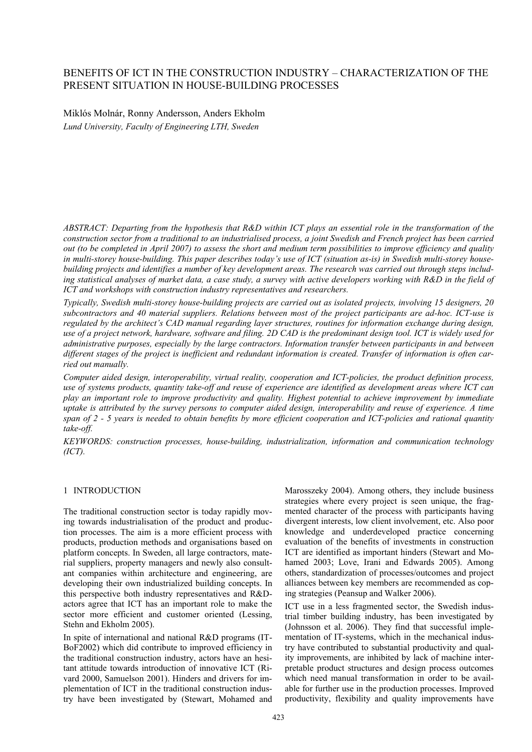# BENEFITS OF ICT IN THE CONSTRUCTION INDUSTRY – CHARACTERIZATION OF THE PRESENT SITUATION IN HOUSE-BUILDING PROCESSES

Miklós Molnár, Ronny Andersson, Anders Ekholm *Lund University, Faculty of Engineering LTH, Sweden* 

*ABSTRACT: Departing from the hypothesis that R&D within ICT plays an essential role in the transformation of the construction sector from a traditional to an industrialised process, a joint Swedish and French project has been carried out (to be completed in April 2007) to assess the short and medium term possibilities to improve efficiency and quality in multi-storey house-building. This paper describes today's use of ICT (situation as-is) in Swedish multi-storey housebuilding projects and identifies a number of key development areas. The research was carried out through steps including statistical analyses of market data, a case study, a survey with active developers working with R&D in the field of ICT and workshops with construction industry representatives and researchers.* 

*Typically, Swedish multi-storey house-building projects are carried out as isolated projects, involving 15 designers, 20 subcontractors and 40 material suppliers. Relations between most of the project participants are ad-hoc. ICT-use is regulated by the architect's CAD manual regarding layer structures, routines for information exchange during design, use of a project network, hardware, software and filing. 2D CAD is the predominant design tool. ICT is widely used for administrative purposes, especially by the large contractors. Information transfer between participants in and between different stages of the project is inefficient and redundant information is created. Transfer of information is often carried out manually.* 

*Computer aided design, interoperability, virtual reality, cooperation and ICT-policies, the product definition process, use of systems products, quantity take-off and reuse of experience are identified as development areas where ICT can play an important role to improve productivity and quality. Highest potential to achieve improvement by immediate uptake is attributed by the survey persons to computer aided design, interoperability and reuse of experience. A time span of 2 - 5 years is needed to obtain benefits by more efficient cooperation and ICT-policies and rational quantity take-off.* 

*KEYWORDS: construction processes, house-building, industrialization, information and communication technology (ICT).* 

#### 1 INTRODUCTION

The traditional construction sector is today rapidly moving towards industrialisation of the product and production processes. The aim is a more efficient process with products, production methods and organisations based on platform concepts. In Sweden, all large contractors, material suppliers, property managers and newly also consultant companies within architecture and engineering, are developing their own industrialized building concepts. In this perspective both industry representatives and R&Dactors agree that ICT has an important role to make the sector more efficient and customer oriented (Lessing, Stehn and Ekholm 2005).

In spite of international and national R&D programs (IT-BoF2002) which did contribute to improved efficiency in the traditional construction industry, actors have an hesitant attitude towards introduction of innovative ICT (Rivard 2000, Samuelson 2001). Hinders and drivers for implementation of ICT in the traditional construction industry have been investigated by (Stewart, Mohamed and Marosszeky 2004). Among others, they include business strategies where every project is seen unique, the fragmented character of the process with participants having divergent interests, low client involvement, etc. Also poor knowledge and underdeveloped practice concerning evaluation of the benefits of investments in construction ICT are identified as important hinders (Stewart and Mohamed 2003; Love, Irani and Edwards 2005). Among others, standardization of processes/outcomes and project alliances between key members are recommended as coping strategies (Peansup and Walker 2006).

ICT use in a less fragmented sector, the Swedish industrial timber building industry, has been investigated by (Johnsson et al. 2006). They find that successful implementation of IT-systems, which in the mechanical industry have contributed to substantial productivity and quality improvements, are inhibited by lack of machine interpretable product structures and design process outcomes which need manual transformation in order to be available for further use in the production processes. Improved productivity, flexibility and quality improvements have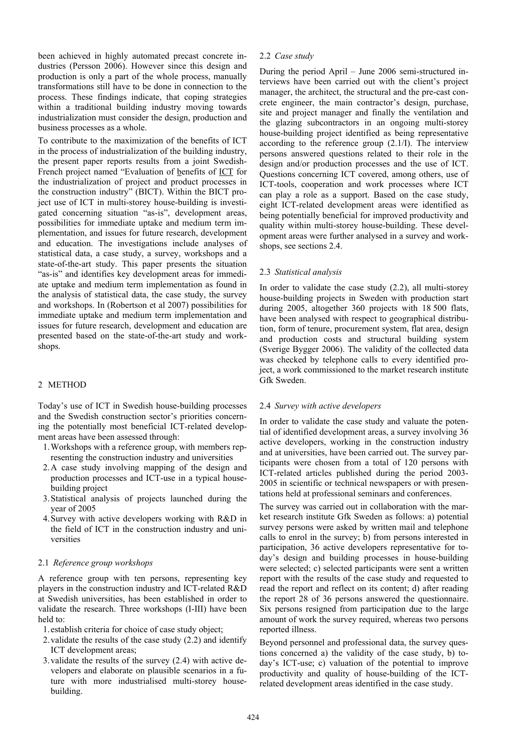been achieved in highly automated precast concrete industries (Persson 2006). However since this design and production is only a part of the whole process, manually transformations still have to be done in connection to the process. These findings indicate, that coping strategies within a traditional building industry moving towards industrialization must consider the design, production and business processes as a whole.

To contribute to the maximization of the benefits of ICT in the process of industrialization of the building industry, the present paper reports results from a joint Swedish-French project named "Evaluation of benefits of ICT for the industrialization of project and product processes in the construction industry" (BICT). Within the BICT project use of ICT in multi-storey house-building is investigated concerning situation "as-is", development areas, possibilities for immediate uptake and medium term implementation, and issues for future research, development and education. The investigations include analyses of statistical data, a case study, a survey, workshops and a state-of-the-art study. This paper presents the situation "as-is" and identifies key development areas for immediate uptake and medium term implementation as found in the analysis of statistical data, the case study, the survey and workshops. In (Robertson et al 2007) possibilities for immediate uptake and medium term implementation and issues for future research, development and education are presented based on the state-of-the-art study and workshops.

### 2 METHOD

Today's use of ICT in Swedish house-building processes and the Swedish construction sector's priorities concerning the potentially most beneficial ICT-related development areas have been assessed through:

- 1.Workshops with a reference group, with members representing the construction industry and universities
- 2.A case study involving mapping of the design and production processes and ICT-use in a typical housebuilding project
- 3.Statistical analysis of projects launched during the year of 2005
- 4.Survey with active developers working with R&D in the field of ICT in the construction industry and universities

#### 2.1 *Reference group workshops*

A reference group with ten persons, representing key players in the construction industry and ICT-related R&D at Swedish universities, has been established in order to validate the research. Three workshops (I-III) have been held to:

1.establish criteria for choice of case study object;

- 2.validate the results of the case study (2.2) and identify ICT development areas;
- 3.validate the results of the survey (2.4) with active developers and elaborate on plausible scenarios in a future with more industrialised multi-storey housebuilding.

#### 2.2 *Case study*

During the period April – June 2006 semi-structured interviews have been carried out with the client's project manager, the architect, the structural and the pre-cast concrete engineer, the main contractor's design, purchase, site and project manager and finally the ventilation and the glazing subcontractors in an ongoing multi-storey house-building project identified as being representative according to the reference group (2.1/I). The interview persons answered questions related to their role in the design and/or production processes and the use of ICT. Questions concerning ICT covered, among others, use of ICT-tools, cooperation and work processes where ICT can play a role as a support. Based on the case study, eight ICT-related development areas were identified as being potentially beneficial for improved productivity and quality within multi-storey house-building. These development areas were further analysed in a survey and workshops, see sections 2.4.

### 2.3 *Statistical analysis*

In order to validate the case study (2.2), all multi-storey house-building projects in Sweden with production start during 2005, altogether 360 projects with 18 500 flats, have been analysed with respect to geographical distribution, form of tenure, procurement system, flat area, design and production costs and structural building system (Sverige Bygger 2006). The validity of the collected data was checked by telephone calls to every identified project, a work commissioned to the market research institute Gfk Sweden.

#### 2.4 *Survey with active developers*

In order to validate the case study and valuate the potential of identified development areas, a survey involving 36 active developers, working in the construction industry and at universities, have been carried out. The survey participants were chosen from a total of 120 persons with ICT-related articles published during the period 2003- 2005 in scientific or technical newspapers or with presentations held at professional seminars and conferences.

The survey was carried out in collaboration with the market research institute Gfk Sweden as follows: a) potential survey persons were asked by written mail and telephone calls to enrol in the survey; b) from persons interested in participation, 36 active developers representative for today's design and building processes in house-building were selected; c) selected participants were sent a written report with the results of the case study and requested to read the report and reflect on its content; d) after reading the report 28 of 36 persons answered the questionnaire. Six persons resigned from participation due to the large amount of work the survey required, whereas two persons reported illness.

Beyond personnel and professional data, the survey questions concerned a) the validity of the case study, b) today's ICT-use; c) valuation of the potential to improve productivity and quality of house-building of the ICTrelated development areas identified in the case study.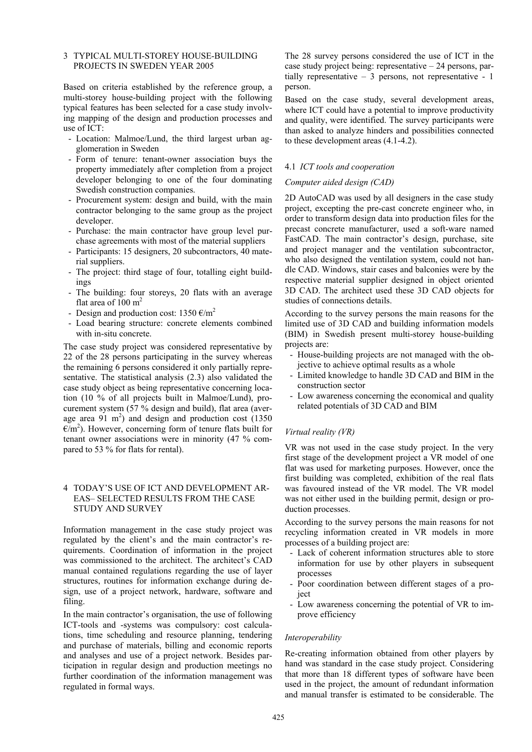### 3 TYPICAL MULTI-STOREY HOUSE-BUILDING PROJECTS IN SWEDEN YEAR 2005

Based on criteria established by the reference group, a multi-storey house-building project with the following typical features has been selected for a case study involving mapping of the design and production processes and use of ICT:

- Location: Malmoe/Lund, the third largest urban agglomeration in Sweden
- Form of tenure: tenant-owner association buys the property immediately after completion from a project developer belonging to one of the four dominating Swedish construction companies.
- Procurement system: design and build, with the main contractor belonging to the same group as the project developer.
- Purchase: the main contractor have group level purchase agreements with most of the material suppliers
- Participants: 15 designers, 20 subcontractors, 40 material suppliers.
- The project: third stage of four, totalling eight buildings
- The building: four storeys, 20 flats with an average flat area of 100  $m<sup>2</sup>$
- Design and production cost:  $1350 \text{ } \epsilon/\text{m}^2$
- Load bearing structure: concrete elements combined with in-situ concrete.

The case study project was considered representative by 22 of the 28 persons participating in the survey whereas the remaining 6 persons considered it only partially representative. The statistical analysis (2.3) also validated the case study object as being representative concerning location (10 % of all projects built in Malmoe/Lund), procurement system (57 % design and build), flat area (average area  $91 \text{ m}^2$ ) and design and production cost (1350  $E/m<sup>2</sup>$ ). However, concerning form of tenure flats built for tenant owner associations were in minority (47 % compared to 53 % for flats for rental).

### 4 TODAY'S USE OF ICT AND DEVELOPMENT AR-EAS– SELECTED RESULTS FROM THE CASE STUDY AND SURVEY

Information management in the case study project was regulated by the client's and the main contractor's requirements. Coordination of information in the project was commissioned to the architect. The architect's CAD manual contained regulations regarding the use of layer structures, routines for information exchange during design, use of a project network, hardware, software and filing.

In the main contractor's organisation, the use of following ICT-tools and -systems was compulsory: cost calculations, time scheduling and resource planning, tendering and purchase of materials, billing and economic reports and analyses and use of a project network. Besides participation in regular design and production meetings no further coordination of the information management was regulated in formal ways.

The 28 survey persons considered the use of ICT in the case study project being: representative – 24 persons, partially representative – 3 persons, not representative - 1 person.

Based on the case study, several development areas, where ICT could have a potential to improve productivity and quality, were identified. The survey participants were than asked to analyze hinders and possibilities connected to these development areas (4.1-4.2).

### 4.1 *ICT tools and cooperation*

#### *Computer aided design (CAD)*

2D AutoCAD was used by all designers in the case study project, excepting the pre-cast concrete engineer who, in order to transform design data into production files for the precast concrete manufacturer, used a soft-ware named FastCAD. The main contractor's design, purchase, site and project manager and the ventilation subcontractor, who also designed the ventilation system, could not handle CAD. Windows, stair cases and balconies were by the respective material supplier designed in object oriented 3D CAD. The architect used these 3D CAD objects for studies of connections details.

According to the survey persons the main reasons for the limited use of 3D CAD and building information models (BIM) in Swedish present multi-storey house-building projects are:

- House-building projects are not managed with the objective to achieve optimal results as a whole
- Limited knowledge to handle 3D CAD and BIM in the construction sector
- Low awareness concerning the economical and quality related potentials of 3D CAD and BIM

### *Virtual reality (VR)*

VR was not used in the case study project. In the very first stage of the development project a VR model of one flat was used for marketing purposes. However, once the first building was completed, exhibition of the real flats was favoured instead of the VR model. The VR model was not either used in the building permit, design or production processes.

According to the survey persons the main reasons for not recycling information created in VR models in more processes of a building project are:

- Lack of coherent information structures able to store information for use by other players in subsequent processes
- Poor coordination between different stages of a project
- Low awareness concerning the potential of VR to improve efficiency

#### *Interoperability*

Re-creating information obtained from other players by hand was standard in the case study project. Considering that more than 18 different types of software have been used in the project, the amount of redundant information and manual transfer is estimated to be considerable. The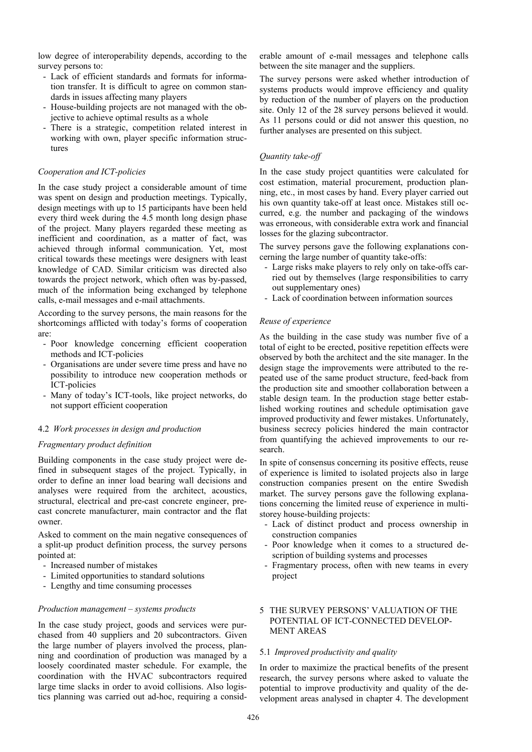low degree of interoperability depends, according to the survey persons to:

- Lack of efficient standards and formats for information transfer. It is difficult to agree on common standards in issues affecting many players
- House-building projects are not managed with the objective to achieve optimal results as a whole
- There is a strategic, competition related interest in working with own, player specific information structures

#### *Cooperation and ICT-policies*

In the case study project a considerable amount of time was spent on design and production meetings. Typically, design meetings with up to 15 participants have been held every third week during the 4.5 month long design phase of the project. Many players regarded these meeting as inefficient and coordination, as a matter of fact, was achieved through informal communication. Yet, most critical towards these meetings were designers with least knowledge of CAD. Similar criticism was directed also towards the project network, which often was by-passed, much of the information being exchanged by telephone calls, e-mail messages and e-mail attachments.

According to the survey persons, the main reasons for the shortcomings afflicted with today's forms of cooperation are:

- Poor knowledge concerning efficient cooperation methods and ICT-policies
- Organisations are under severe time press and have no possibility to introduce new cooperation methods or ICT-policies
- Many of today's ICT-tools, like project networks, do not support efficient cooperation

#### 4.2 *Work processes in design and production*

### *Fragmentary product definition*

Building components in the case study project were defined in subsequent stages of the project. Typically, in order to define an inner load bearing wall decisions and analyses were required from the architect, acoustics, structural, electrical and pre-cast concrete engineer, precast concrete manufacturer, main contractor and the flat owner.

Asked to comment on the main negative consequences of a split-up product definition process, the survey persons pointed at:

- Increased number of mistakes
- Limited opportunities to standard solutions
- Lengthy and time consuming processes

#### *Production management – systems products*

In the case study project, goods and services were purchased from 40 suppliers and 20 subcontractors. Given the large number of players involved the process, planning and coordination of production was managed by a loosely coordinated master schedule. For example, the coordination with the HVAC subcontractors required large time slacks in order to avoid collisions. Also logistics planning was carried out ad-hoc, requiring a considerable amount of e-mail messages and telephone calls between the site manager and the suppliers.

The survey persons were asked whether introduction of systems products would improve efficiency and quality by reduction of the number of players on the production site. Only 12 of the 28 survey persons believed it would. As 11 persons could or did not answer this question, no further analyses are presented on this subject.

#### *Quantity take-off*

In the case study project quantities were calculated for cost estimation, material procurement, production planning, etc., in most cases by hand. Every player carried out his own quantity take-off at least once. Mistakes still occurred, e.g. the number and packaging of the windows was erroneous, with considerable extra work and financial losses for the glazing subcontractor.

The survey persons gave the following explanations concerning the large number of quantity take-offs:

- Large risks make players to rely only on take-offs carried out by themselves (large responsibilities to carry out supplementary ones)
- Lack of coordination between information sources

#### *Reuse of experience*

As the building in the case study was number five of a total of eight to be erected, positive repetition effects were observed by both the architect and the site manager. In the design stage the improvements were attributed to the repeated use of the same product structure, feed-back from the production site and smoother collaboration between a stable design team. In the production stage better established working routines and schedule optimisation gave improved productivity and fewer mistakes. Unfortunately, business secrecy policies hindered the main contractor from quantifying the achieved improvements to our research.

In spite of consensus concerning its positive effects, reuse of experience is limited to isolated projects also in large construction companies present on the entire Swedish market. The survey persons gave the following explanations concerning the limited reuse of experience in multistorey house-building projects:

- Lack of distinct product and process ownership in construction companies
- Poor knowledge when it comes to a structured description of building systems and processes
- Fragmentary process, often with new teams in every project

## 5 THE SURVEY PERSONS' VALUATION OF THE POTENTIAL OF ICT-CONNECTED DEVELOP-MENT AREAS

# 5.1 *Improved productivity and quality*

In order to maximize the practical benefits of the present research, the survey persons where asked to valuate the potential to improve productivity and quality of the development areas analysed in chapter 4. The development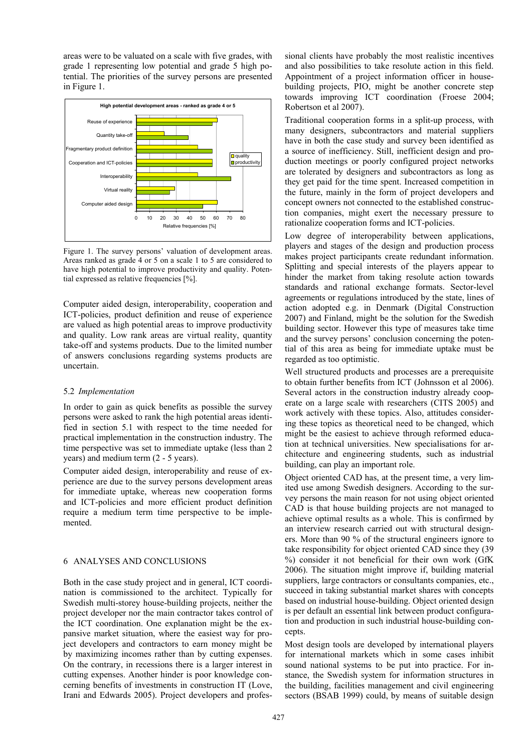areas were to be valuated on a scale with five grades, with grade 1 representing low potential and grade 5 high potential. The priorities of the survey persons are presented in Figure 1.



Figure 1. The survey persons' valuation of development areas. Areas ranked as grade 4 or 5 on a scale 1 to 5 are considered to have high potential to improve productivity and quality. Potential expressed as relative frequencies [%].

Computer aided design, interoperability, cooperation and ICT-policies, product definition and reuse of experience are valued as high potential areas to improve productivity and quality. Low rank areas are virtual reality, quantity take-off and systems products. Due to the limited number of answers conclusions regarding systems products are uncertain.

#### 5.2 *Implementation*

In order to gain as quick benefits as possible the survey persons were asked to rank the high potential areas identified in section 5.1 with respect to the time needed for practical implementation in the construction industry. The time perspective was set to immediate uptake (less than 2 years) and medium term (2 - 5 years).

Computer aided design, interoperability and reuse of experience are due to the survey persons development areas for immediate uptake, whereas new cooperation forms and ICT-policies and more efficient product definition require a medium term time perspective to be implemented.

## 6 ANALYSES AND CONCLUSIONS

Both in the case study project and in general, ICT coordination is commissioned to the architect. Typically for Swedish multi-storey house-building projects, neither the project developer nor the main contractor takes control of the ICT coordination. One explanation might be the expansive market situation, where the easiest way for project developers and contractors to earn money might be by maximizing incomes rather than by cutting expenses. On the contrary, in recessions there is a larger interest in cutting expenses. Another hinder is poor knowledge concerning benefits of investments in construction IT (Love, Irani and Edwards 2005). Project developers and professional clients have probably the most realistic incentives and also possibilities to take resolute action in this field. Appointment of a project information officer in housebuilding projects, PIO, might be another concrete step towards improving ICT coordination (Froese 2004; Robertson et al 2007).

Traditional cooperation forms in a split-up process, with many designers, subcontractors and material suppliers have in both the case study and survey been identified as a source of inefficiency. Still, inefficient design and production meetings or poorly configured project networks are tolerated by designers and subcontractors as long as they get paid for the time spent. Increased competition in the future, mainly in the form of project developers and concept owners not connected to the established construction companies, might exert the necessary pressure to rationalize cooperation forms and ICT-policies.

Low degree of interoperability between applications, players and stages of the design and production process makes project participants create redundant information. Splitting and special interests of the players appear to hinder the market from taking resolute action towards standards and rational exchange formats. Sector-level agreements or regulations introduced by the state, lines of action adopted e.g. in Denmark (Digital Construction 2007) and Finland, might be the solution for the Swedish building sector. However this type of measures take time and the survey persons' conclusion concerning the potential of this area as being for immediate uptake must be regarded as too optimistic.

Well structured products and processes are a prerequisite to obtain further benefits from ICT (Johnsson et al 2006). Several actors in the construction industry already cooperate on a large scale with researchers (CITS 2005) and work actively with these topics. Also, attitudes considering these topics as theoretical need to be changed, which might be the easiest to achieve through reformed education at technical universities. New specialisations for architecture and engineering students, such as industrial building, can play an important role.

Object oriented CAD has, at the present time, a very limited use among Swedish designers. According to the survey persons the main reason for not using object oriented CAD is that house building projects are not managed to achieve optimal results as a whole. This is confirmed by an interview research carried out with structural designers. More than 90 % of the structural engineers ignore to take responsibility for object oriented CAD since they (39 %) consider it not beneficial for their own work (GfK 2006). The situation might improve if, building material suppliers, large contractors or consultants companies, etc., succeed in taking substantial market shares with concepts based on industrial house-building. Object oriented design is per default an essential link between product configuration and production in such industrial house-building concepts.

Most design tools are developed by international players for international markets which in some cases inhibit sound national systems to be put into practice. For instance, the Swedish system for information structures in the building, facilities management and civil engineering sectors (BSAB 1999) could, by means of suitable design